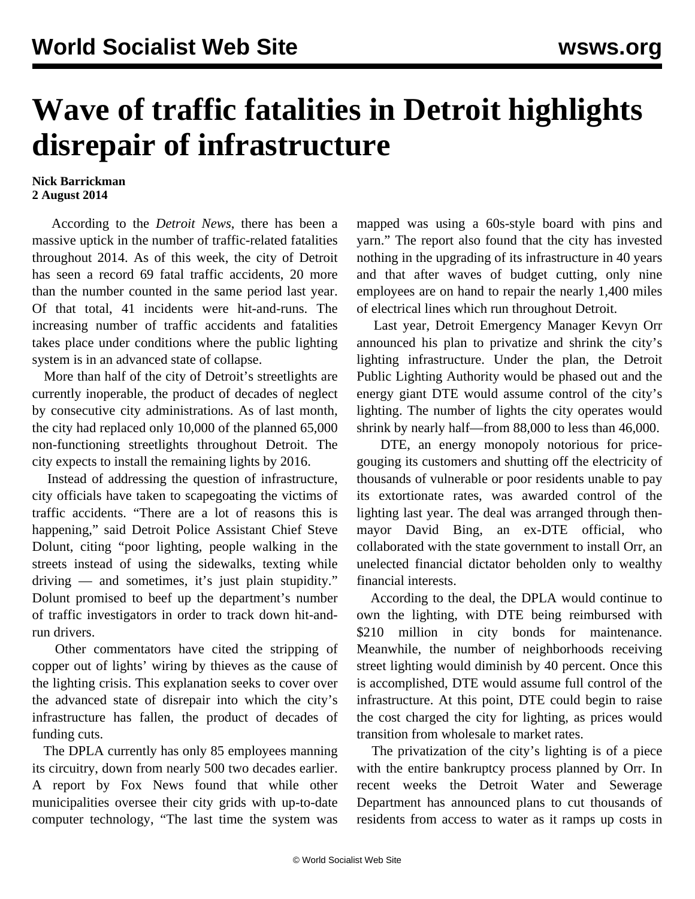## **Wave of traffic fatalities in Detroit highlights disrepair of infrastructure**

## **Nick Barrickman 2 August 2014**

 According to the *Detroit News*, there has been a massive uptick in the number of traffic-related fatalities throughout 2014. As of this week, the city of Detroit has seen a record 69 fatal traffic accidents, 20 more than the number counted in the same period last year. Of that total, 41 incidents were hit-and-runs. The increasing number of traffic accidents and fatalities takes place under conditions where the public lighting system is in an advanced state of collapse.

 More than half of the city of Detroit's streetlights are currently inoperable, the product of decades of neglect by consecutive city administrations. As of last month, the city had replaced only 10,000 of the planned 65,000 non-functioning streetlights throughout Detroit. The city expects to install the remaining lights by 2016.

 Instead of addressing the question of infrastructure, city officials have taken to scapegoating the victims of traffic accidents. "There are a lot of reasons this is happening," said Detroit Police Assistant Chief Steve Dolunt, citing "poor lighting, people walking in the streets instead of using the sidewalks, texting while driving — and sometimes, it's just plain stupidity." Dolunt promised to beef up the department's number of traffic investigators in order to track down hit-andrun drivers.

 Other commentators have cited the stripping of copper out of lights' wiring by thieves as the cause of the lighting crisis. This explanation seeks to cover over the advanced state of disrepair into which the city's infrastructure has fallen, the product of decades of funding cuts.

 The DPLA currently has only 85 employees manning its circuitry, down from nearly 500 two decades earlier. A report by Fox News found that while other municipalities oversee their city grids with up-to-date computer technology, "The last time the system was mapped was using a 60s-style board with pins and yarn." The report also found that the city has invested nothing in the upgrading of its infrastructure in 40 years and that after waves of budget cutting, only nine employees are on hand to repair the nearly 1,400 miles of electrical lines which run throughout Detroit.

 Last year, Detroit Emergency Manager Kevyn Orr announced his plan to privatize and shrink the city's lighting infrastructure. Under the plan, the Detroit Public Lighting Authority would be phased out and the energy giant DTE would assume control of the city's lighting. The number of lights the city operates would shrink by nearly half—from 88,000 to less than 46,000.

 DTE, an energy monopoly notorious for pricegouging its customers and shutting off the electricity of thousands of vulnerable or poor residents unable to pay its extortionate rates, was awarded control of the lighting last year. The deal was arranged through thenmayor David Bing, an ex-DTE official, who collaborated with the state government to install Orr, an unelected financial dictator beholden only to wealthy financial interests.

 According to the deal, the DPLA would continue to own the lighting, with DTE being reimbursed with \$210 million in city bonds for maintenance. Meanwhile, the number of neighborhoods receiving street lighting would diminish by 40 percent. Once this is accomplished, DTE would assume full control of the infrastructure. At this point, DTE could begin to raise the cost charged the city for lighting, as prices would transition from wholesale to market rates.

 The privatization of the city's lighting is of a piece with the entire bankruptcy process planned by Orr. In recent weeks the Detroit Water and Sewerage Department has announced plans to cut thousands of residents from access to water as it ramps up costs in